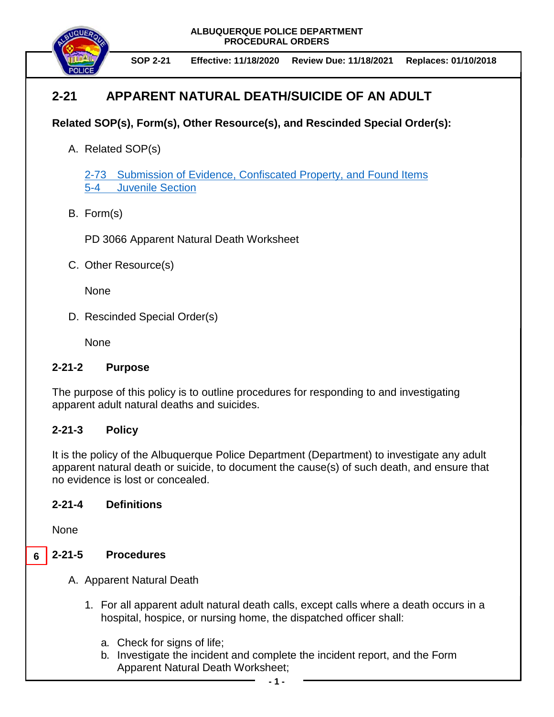**ALBUQUERQUE POLICE DEPARTMENT PROCEDURAL ORDERS**



# **2-21 APPARENT NATURAL DEATH/SUICIDE OF AN ADULT**

## **Related SOP(s), Form(s), Other Resource(s), and Rescinded Special Order(s):**

A. Related SOP(s)

2-73 [Submission of Evidence, Confiscated Property, and Found Items](https://powerdms.com/docs/88?q=2-73%20-%20collect) [5-4 Juvenile Section](https://powerdms.com/docs/311995?q=5-4%20juven)

B. Form(s)

PD 3066 Apparent Natural Death Worksheet

C. Other Resource(s)

None

D. Rescinded Special Order(s)

None

### **2-21-2 Purpose**

The purpose of this policy is to outline procedures for responding to and investigating apparent adult natural deaths and suicides.

### **2-21-3 Policy**

It is the policy of the Albuquerque Police Department (Department) to investigate any adult apparent natural death or suicide, to document the cause(s) of such death, and ensure that no evidence is lost or concealed.

### **2-21-4 Definitions**

None

#### **2-21-5 Procedures 6**

- A. Apparent Natural Death
	- 1. For all apparent adult natural death calls, except calls where a death occurs in a hospital, hospice, or nursing home, the dispatched officer shall:
		- a. Check for signs of life;
		- b. Investigate the incident and complete the incident report, and the Form Apparent Natural Death Worksheet;